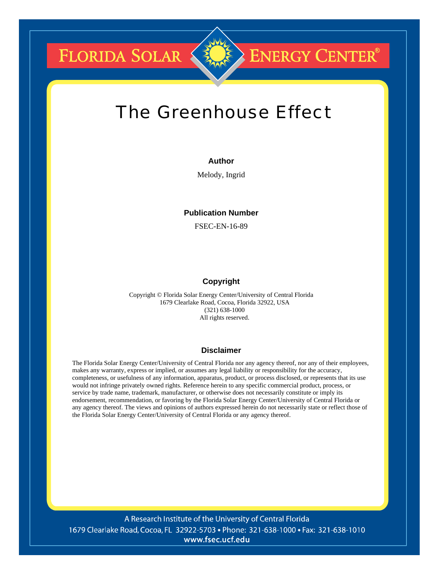**FLORIDA SOLAR &** 



## The Greenhouse Effect

#### **Author**

Melody, Ingrid

#### **Publication Number**

FSEC-EN-16-89

#### **Copyright**

Copyright © Florida Solar Energy Center/University of Central Florida 1679 Clearlake Road, Cocoa, Florida 32922, USA (321) 638-1000 All rights reserved.

#### **Disclaimer**

The Florida Solar Energy Center/University of Central Florida nor any agency thereof, nor any of their employees, makes any warranty, express or implied, or assumes any legal liability or responsibility for the accuracy, completeness, or usefulness of any information, apparatus, product, or process disclosed, or represents that its use would not infringe privately owned rights. Reference herein to any specific commercial product, process, or service by trade name, trademark, manufacturer, or otherwise does not necessarily constitute or imply its endorsement, recommendation, or favoring by the Florida Solar Energy Center/University of Central Florida or any agency thereof. The views and opinions of authors expressed herein do not necessarily state or reflect those of the Florida Solar Energy Center/University of Central Florida or any agency thereof.

A Research Institute of the University of Central Florida 1679 Clearlake Road, Cocoa, FL 32922-5703 • Phone: 321-638-1000 • Fax: 321-638-1010 www.fsec.ucf.edu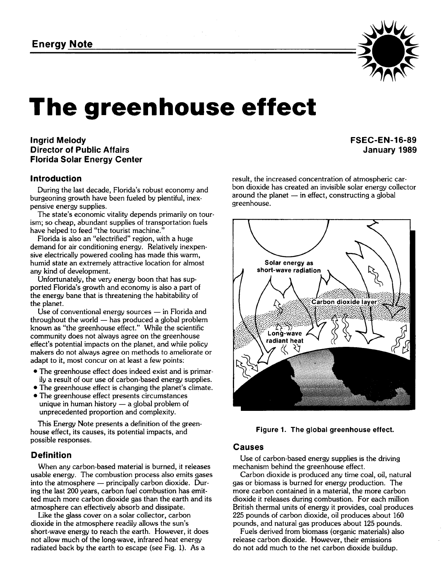

# **The greenhouse effect**

#### **Ingrid Melody Director of Public Affairs Florida Solar Energy Center**

burgeoning growth have been fueled by plentiful, inex-<br>noncius anorgu supplies pensive energy supplies.

The state's economic vitality depends primarily on tourism; so cheap, abundant supplies of transportation fuels have helped to feed "the tourist machine."

Florida is also an "electrified" region, with a huge demand for air conditioning energy. Relatively inexpensive electrically powered cooling has made this warm, humid state an extremely attractive location for almost any kind of development.

Unfortunately, the very energy boon that has supported Florida's growth and economy is also a part of the energy bane that is threatening the habitability of the planet. e energy bane that is threatening the habitability of<br>e planet.<br>Use of conventional energy sources — in Florida and<br>weakent that we delegate and we deduced webland

the planet.<br>Use of conventional energy sources — in Florida and<br>throughout the world — has produced a global problem known as "the greenhouse effect." While the scientific community does not always agree on the greenhouse effect's potential impacts on the planet, and while policy makers do not always agree on methods to ameliorate or adapt to it, most concur on at least a few points:

- The greenhouse effect does indeed exist and is primarily a result of our use of carbon-based energy supplies.
- The greenhouse effect is changing the planet's climate.
- I he greenhouse effect is changing the planet s<br>The greenhouse effect presents circumstances<br>unique in human history a global problem of unprecedented proportion and complexity.

This Energy Note presents a definition of the greenhouse effect, its causes, its potential impacts, and possible responses.

### **Definition**

When any carbon-based material is burned, it releases When any carbon-based material is burned, it releases<br>usable energy. The combustion process also emits gases<br>into the atmosphere — principally carbon dioxide. During the last 200 years, carbon fuel combustion has emitted much more carbon dioxide gas than the earth and its atmosphere can effectively absorb and dissipate.

Like the glass cover on a solar collector, carbon dioxide in the atmosphere readily allows the sun's short-wave energy to reach the earth. However, it does not allow much of the long-wave, infrared heat energy radiated back by the earth to escape (see Fig. 1). As a

**FSEC-EN-16-89 January 1989** 

**Introduction result**, the increased concentration of atmospheric car-During the last decade, Florida's robust economy and bon dioxide has created an invisible solar energy collector<br>Integrating grouth have been fueled by plontiful inox around the planet — in effect, constructing a global



**Figure 1. The global greenhouse effect.** 

#### **Causes**

Use of carbon-based energy supplies is the driving mechanism behind the greenhouse effect.

Carbon dioxide is produced any time coal, oil, natural gas or biomass is burned for energy production. The more carbon contained in a material, the more carbon dioxide it releases during combustion. For each million British thermal units of energy it provides, coal produces 225 pounds of carbon dioxide, oil produces about 160 pounds, and natural gas produces about 125 pounds.

Fuels derived from biomass (organic materials) also release carbon dioxide. However, their emissions do not add much to the net carbon dioxide buildup.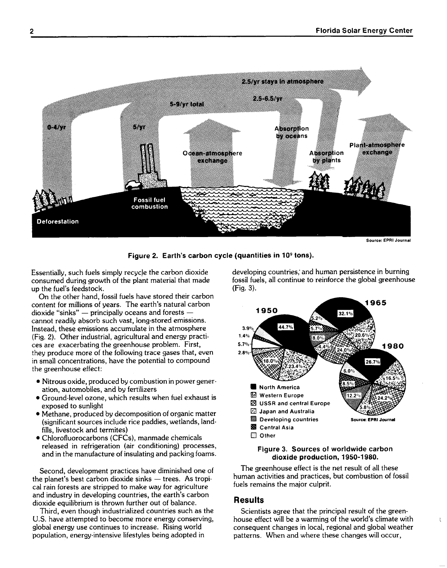

**Figure 2. Earth's carbon cycle (quantities in lo9 tons).** 

Essentially, such fuels simply recycle the carbon dioxide consumed during growth of the plant material that made up the fuel's feedstock.

On the other hand, fossil fuels have stored their carbon content for millions of years. The earth's natural carbon On the other hand, tossil tuels have stored their car<br>content for millions of years. The earth's natural carb<br>dioxide "sinks" — principally oceans and forests cannot readily absorb such vast, long-stored emissions. Instead, these emissions accumulate in the atmosphere (Fig. 2). Other industrial, agricultural and energy practices are exacerbating the greenhouse problem. First, they produce more of the following trace gases that, even in small concentrations, have the potential to compound the greenhouse effect:

- Nitrous oxide, produced by combustion in power generation, automobiles, and by fertilizers
- Ground-level ozone, which results when fuel exhaust is exposed to sunlight
- Methane, produced by decomposition of organic matter (significant sources include rice paddies, wetlands, landfills, livestock and termites)
- Chlorofluorocarbons (CFCs), manmade chemicals released in refrigeration (air conditioning) processes, and in the manufacture of insulating and packing foams.

Second, development practices have diminished one of the planet's best carbon dioxide sinks — trees. As tropical rain forests are stripped to make way for agriculture and industry in developing countries, the earth's carbon dioxide equilibrium is thrown further out of balance.

Third, even though industrialized countries such as the U.S. have attempted to become more energy conserving, global energy use continues to increase. Rising world population, energy-intensive lifestyles being adopted in

developing countries; and human persistence in burning fossil fuels, all continue to reinforce the global greenhouse (Fig. **3).** 



#### **Figure 3. Sources of worldwide carbon dioxide production, 1950-1 980.**

The greenhouse effect is the net result of all these human activities and practices, but combustion of fossil fuels remains the major culprit.

#### **Results**

Scientists agree that the principal result of the greenhouse effect will be a warming of the world's climate with consequent changes in local, regional and global weather patterns. When and where these changes will occur,

 $\mathbf{I}$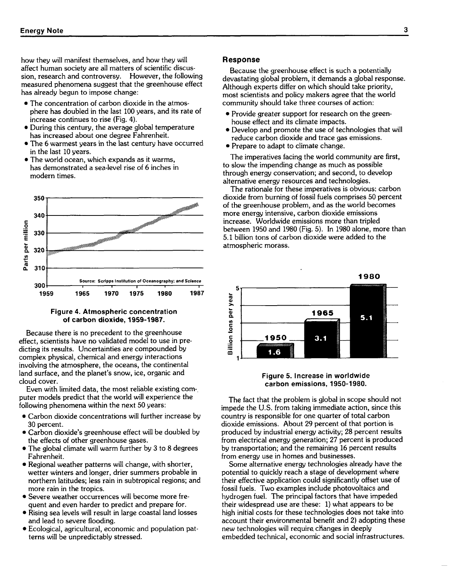how they will manifest themselves, and how they will affect human society are all matters of scientific discussion, research and controversy. However, the following measured phenomena suggest that the greenhouse effect has already begun to impose change:

- The concentration of carbon dioxide in the atmosphere has doubled in the last 100 years, and its rate of increase continues to rise (Fig. 4).
- During this century, the average global temperature has increased about one degree Fahrenheit.
- The *6* warmest years in the last century have occurred in the last 10 years.
- The world ocean, which expands as it warms, has demonstrated a sea-level rise of *6* inches in modern times.



#### **Figure 4. Atmospheric concentration of carbon dioxide, 1959-1 987.**

Because there is no precedent to the greenhouse effect, scientists have no validated model to use in predicting its results. Uncertainties are compounded by complex physical, chemical and energy interactions involving the atmosphere, the oceans, the continental land surface, and the planet's snow, ice, organic and cloud cover.

Even with limited data, the most reliable existing computer models predict that the world will experience the following phenomena within the next 50 years:

- Carbon dioxide concentrations will further increase by 30 percent.
- Carbon dioxide's greenhouse effect will be doubled by the effects of other greenhouse gases.
- The global climate will warm further by 3 to 8 degrees Fahrenheit.
- Regional weather patterns will change, with shorter, wetter winters and longer, drier summers probable in northern latitudes; less rain in subtropical regions; and more rain in the tropics.
- Severe weather occurrences will become more frequent and even harder to predict and prepare for.
- Rising sea levels will result in large coastal land losses and lead to severe flooding.
- Ecological, agricultural, economic and population patterns will be unpredictably stressed.

#### **Response**

Because the greenhouse effect is such a potentially devastating global problem, it demands a global response. Although experts differ on which should take priority, most scientists and policy makers agree that the world community should take three courses of action:

- Provide greater support for research on the greenhouse effect and its climate impacts.
- Develop and promote the use of technologies that will reduce carbon dioxide and trace gas emissions.
- Prepare to adapt to climate change.

The imperatives facing the world community are first, to slow the impending change as much as possible through energy conservation; and second, to develop alternative energy resources and technologies.

The rationale for these imperatives is obvious: carbon dioxide from burning of fossil fuels comprises 50 percent of the greenhouse problem, and as the world becomes more energy intensive, carbon dioxide emissions increase. Worldwide emissions more than tripled between 1950 and 1980 (Fig. 5). In 1980 alone, more than 5.1 billion tons of carbon dioxide were added to the atmospheric morass.





The fact that the problem is global in scope should not impede the U.S. from taking immediate action, since this country is responsible for one quarter of total carbon dioxide emissions. About 29 percent of that portion is produced by industrial energy activity; 28 percent results from electrical energy generation; 27 percent is produced by transportation; and the remaining 16 percent results from energy use in homes and businesses.

Some alternative energy technologies already have the potential to quickly reach a stage of development where their effective application could significantly offset use of fossil fuels. Two examples include photovoltaics and hydrogen fuel. The principal factors that have impeded their widespread use are these: 1) what appears to be high initial costs for these technologies does not take into account their environmental benefit and 2) adopting these new technologies will require, changes in deeply embedded technical, economic and social infrastructures.